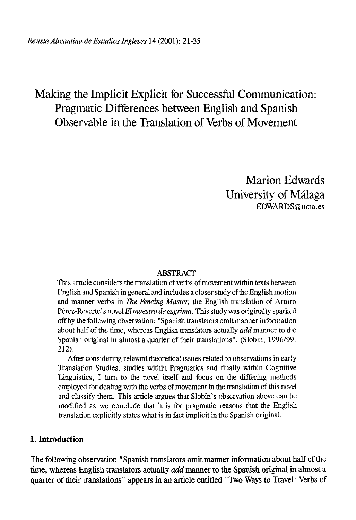# Making the Implicit Explicit for Successful Communication: Pragmatic Differences between English and Spanish Observable in the Translation of Verbs of Movement

Marion Edwards University of Málaga [EDWARDS@uma.es](mailto:EDWARDS@uma.es)

#### ABSTRACT

This article considers the translation of verbs of movement within texts between English and Spanish in general and includes a closer study of the English motion and manner verbs in *The Fencing Master,* the English translation of Arturo Pérez-Reverte's novel *Elmaestro de esgrima,* This study was originally sparked off by the following observation: "Spanish translators omitmanner information about half of the time, whereas English translators actually *add* manner to the Spanish original in almost a quarter of their translations". (Slobin, 1996/99: 212).

After considering relevant theoretical issues related to observations in early Translation Studies, studies within Pragmatics and finally within Cognitive Linguistics, I furn to the novel itself and focus on the differing methods employed for dealing with the verbs of movement in the translation of this novel and classify them. This article argües that Slobin's observation above can be modified as we conclude that it is for pragmatic reasons that the English translation explicitly states what is in fact implicit in the Spanish original.

### **1. Introduction**

The following observation "Spanish translators omit manner information about half of the time, whereas English translators actually *add* manner to the Spanish original in almost a quarter of their translations" appears in an article entitled "Two Ways to Travel: Verbs of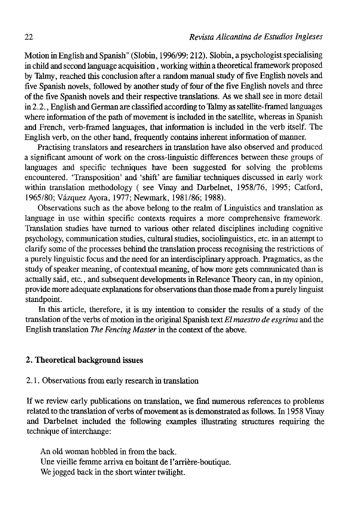Motion in English and Spanish" (Slobin, 1996/99: 212). Slobin, a psychologist specialising in child and second language acquisition, working within a theoretical framework proposed by Talmy, reached this conclusion after a random manual study of five English novels and five Spanish novels, followed by another study of four of the five English novels and three of the five Spanish novéis and their respective translations. As we shall see in more detail in 2.2., English and German are classified according to Talmy as satellite-framed languages where information of the path of movement is included in the satellite, whereas in Spanish and French, verb-framed languages, that information is included in the verb itself. The English verb, on the other hand, frequently contains inherent information of manner.

Practising translators and researchers in translation have also observed and produced a significant amount of work on the cross-linguistic differences between these groups of languages and specific techniques have been suggested for solving the problems encountered. 'Transposition' and 'shift' are familiar techniques discussed in early work within translation methodology ( see Vinay and Darbelnet, 1958/76, 1995; Catford, 1965/80; Vázquez Ayora, 1977; Newmark, 1981/86; 1988).

Observations such as the above belong to the realm of Linguistics and translation as language in use within specific contexts requires a more comprehensive framework. Translation studies have tumed to various other related disciplines including cognitive psychology, communication studies, cultural studies, sociolinguistics, etc. in an attempt to clarify some of the processes behind the translation process recognising the restrictions of a purely linguistic focus and the need for an interdisciplinary approach. Pragmatics, as the study of speaker meaning, of contextual meaning, of how more gets communicated than is actually said, etc., and subsequent developments in Relevance Theory can, in my opinión, provide more adequate explanations for observations than those made from a purely linguist standpoint.

In this article, therefore, it is my intention to consider the results of a study of the translation of the verbs of motion in the original Spanish text *El maestro de esgrima* and the English translation *The Fencing Master* in the context of the above.

## **2. Theoretical background issues**

## 2.1. Observations from early research in translation

If we review early publications on translation, we find numerous references to problems related to the translation of verbs of movement as is demonstrated as follows. In 1958 Vinay and Darbelnet included the following examples illustrating structures requiring the technique of interchange:

An oíd wornan hobbled in from the back. Une vieille femme arriva en boitant de l'arrière-boutique. We jogged back in the short winter twilight.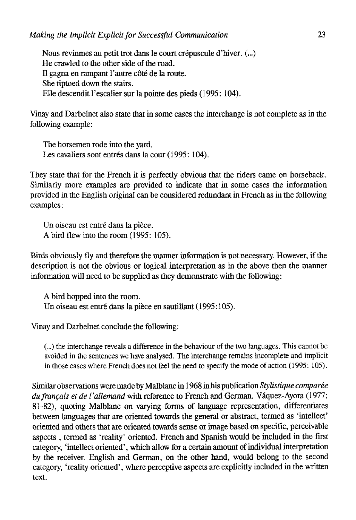Nous revinmes au petit trot dans le court crépuscule d'hiver. (...) He crawled to the other side of the road. II gagna en rampant l'autre cóté de la route. She tiptoed down the stairs. Elle descendit l'escalier sur la pointe des pieds (1995: 104).

Vinay and Darbelnet also state that in some cases the interchange is not complete as in the following example:

The horsemen rodé into the yard. Les cavaliers sont entrés dans la cour (1995: 104).

They state that for the French it is perfectly obvious that the riders came on horseback. Similarly more examples are provided to indícate that in some cases the information provided in the English original can be considered redundant in French as in the following examples:

Un oiseau est entré dans la piéce. A bird flew into the room (1995: 105).

Birds obviously fly and therefore the manner information is not necessary. However, if the description is not the obvious or logical interpretation as in the above then the manner information will need to be supplied as they demónstrate with the following:

A bird hopped into the room. Un oiseau est entré dans la piéce en sautillant (1995:105).

Vinay and Darbelnet conclude the following:

(...) the interchange reveals a difference in the behaviour of the two languages. This cannot be avoided in the sentences we have analysed. The interchange remains incomplete and implicit in those cases where French does not feel the need to specify the mode of action (1995: 105).

Similar observations were made by Malblanc in 1968 in his publication *Stylisñque comparée*  du français et de l'allemand with reference to French and German. Váquez-Ayora (1977: 81-82), quoting Malblanc on varying forms of language representation, differentiates between languages that are oriented towards the general or abstract, termed as 'intellect' oriented and others that are oriented towards sense or image based on specific, perceivable aspects , termed as 'reality' oriented. French and Spanish would be included in the fírst category, 'intellect oriented', which allow for a certain amount of individual interpretation by the receiver. English and German, on the other hand, would belong to the second category, 'reality oriented', where perceptive aspects are explicitly included in the written text.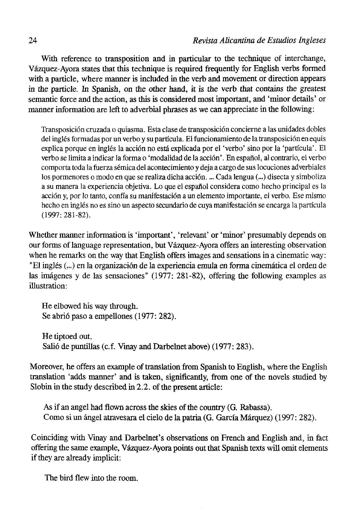With reference to transposition and in particular to the technique of interchange, Vázquez-Ayora states that this technique is required ftequently for English verbs formed with a particle, where manner is included in the verb and movement or direction appears in the particle. In Spanish, on the other hand, it is the verb that contains the greatest semantic forcé and the action, as this is considered most important, and 'minor details' or manner infonnation are left to adverbial phrases as we can appreciate in the following:

Transposición cruzada o quiasma. Esta clase de transposición concierne a las unidades dobles del inglés formadas por un verbo y su partícula. El funcionamiento de la transposición en equis explica porque en inglés la acción no está explicada por el 'verbo' sino por la 'partícula'. El verbo se limita a indicar la forma o 'modalidad de la acción'. En español, al contrario, el verbo comporta toda la fuerza sémica del acontecimiento y deja a cargo de sus locuciones adverbiales los pormenores o modo en que se realiza dicha acción. ... Cada lengua (...) disecta y simboliza a su manera la experiencia objetiva. Lo que el español considera como hecho principal es la acción y, por lo tanto, confía su manifestación a un elemento importante, el verbo. Ese mismo hecho en inglés no es sino un aspecto secundario de cuya manifestación se encarga la partícula (1997: 281-82).

Whether manner information is 'important', 'relevant' or 'minor' presumably depends on our forms of language representation, but Vázquez-Ayora offers an interesting observation when he remarks on the way that English offers images and sensations in a cinematic way: "El inglés (...) en la organización de la experiencia emula en forma cinemática el orden de las imágenes y de las sensaciones" (1977: 281-82), offering the following examples as illustration:

He elbowed his way through. Se abrió paso a empellones (1977: 282).

He tiptoed out. Salió de puntillas (c.f. Vinay and Darbelnet above) (1977: 283).

Moreover, he offers an example of translation from Spanish to English, where the English translation 'adds manner' and is taken, significantly, from one of the novéis studied by Slobin in the study described in 2.2. of the present article:

As if an angel had flown across the skies of the country (G. Rabassa). Como si un ángel atravesara el cielo de la patria (G. García Márquez) (1997: 282).

Coinciding with Vinay and Darbelnet's observations on French and English and, in fací offering the same example, Vázquez-Ayora points out that Spanish texts will omit elements if they are already implicit:

The bird flew into the room.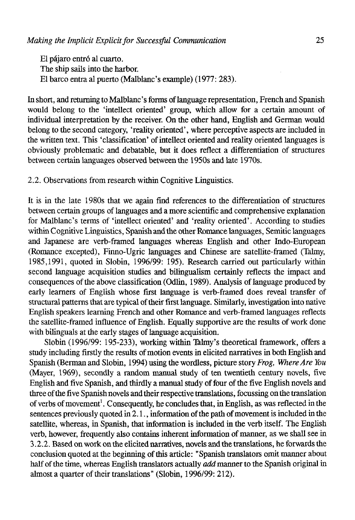El pájaro entró al cuarto. The ship sails into the harbor. El barco entra al puerto (Malblanc's example) (1977: 283).

In short, and returning to Malblanc's forms of language representation, French and Spanish would belong to the 'intellect oriented' group, which allow for a certain amount of individual interpretation by the receiver. On the other hand, English and German would belong to the second category, 'reality oriented', where perceptive aspects are included in the written text. This 'classification' of intellect oriented and reality oriented languages is obviously problematic and debatable, but it does reflect a differentiation of structures between certain languages observed between the 1950s and late 1970s.

2.2. Observations from research within Cognitive Linguistics.

It is in the late 1980s that we again find references to the differentiation of structures between certain groups of languages and a more scientific and comprehensive explanation for Malblanc's terms of 'intellect oriented' and 'reality oriented'. According to studies within Cognitive Linguistics, Spanish and the other Romance languages, Semitic languages and Japanese are verb-framed languages whereas English and other Indo-European (Romance excepted), Finno-Ugric languages and Chinese are satelüte-framed (Talmy, 1985,1991, quoted in Slobin, 1996/99: 195). Research carried out particularly within second language acquisition studies and bilingualism certainly reflects the impact and consequences of the above classification (Odlin, 1989). Analysis of language produced by early learners of English whose first language is verb-framed does reveal transfer of structural patterns that are typical of their first language. Similarly, investigation into native English speakers learning French and other Romance and verb-framed languages reflects the satellite-framed influence of English. Equally supporüve are the results of work done with bilinguals at the early stages of language acquisition.

Slobin (1996/99: 195-233), working within Talmy's theoretical framework, offers a study including firstly the results of motion events in elicited narratives in both English and Spanish (Berman and Slobin, 1994) using the wordless, picture story *Frog, Where Are You*  (Mayer, 1969), secondly a random manual study of ten twentieth century novéis, five English and five Spanish, and thirdly a manual study of four of the five English novéis and three of the five Spanish novels and their respective translations, focussing on the translation of verbs of movement<sup>1</sup>. Consequently, he concludes that, in English, as was reflected in the sentences previously quoted in 2.1., information of the path of movement is included in the satellite, whereas, in Spanish, that information is included in the verb itself. The English verb, however, frequenüy also contains inherent information of manner, as we shall see in 3.2.2. Based on work on the elicited narratives, novéis and the translations, he forwards the conclusión quoted at the beginning of this article: "Spanish translators omit manner about half of the time, whereas English translators actually *add* manner to the Spanish original in almost a quarter of their translations" (Slobin, 1996/99: 212).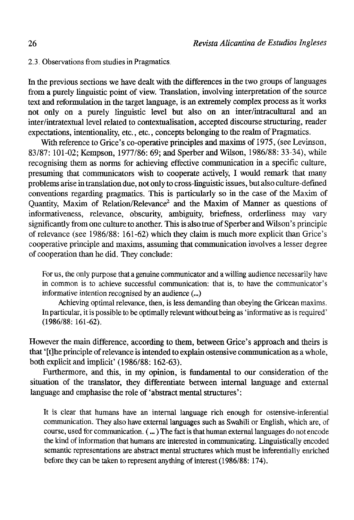2.3. Observations from studies in Pragmatics

In the previous sections we have dealt with the differences in the two groups of languages from a purely linguistic point of view. Translation, involving interpretation of the source text and reformulation in the target language, is an extremely complex process as it works not only on a purely linguistic level but also on an inter/intracultural and an inter/intratextual level related to contextualisation, accepted discourse structuring, reader expectations, intentionality, etc., etc., concepts belonging to the realm of Pragmatics.

With reference to Grice's co-operative principles and maxims of 1975, (see Levinson, 83/87: 101-02; Kempson, 1977/86: 69; and Sperber and Wilson, 1986/88: 33-34), while recognising them as norms for achieving effective communication in a specific culture, presuming that communicators wish to cooperate actively, I would remark that many problems arise in translation due, not only to cross-linguistic issues, but also culture-defined conventions regarding pragmatics. This is particularly so in the case of the Maxim of Quantity, Maxim of Relation/Relevance<sup>2</sup> and the Maxim of Manner as questions of informativeness, relevance, obscurity, ambiguity, briefness, orderliness may vary significantly from one culture to another. This is also true of Sperber and Wilson's principle of relevance (see 1986/88: 161-62) which they claim is much more explicit than Grice's cooperative principie and maxims, assuming that communication involves a lesser degree of cooperation than he did. They conclude:

For us, the only purpose that a genuine communicator and a willing audience necessarily have in common is to achieve successful communication: that is, to have the communicator's informative intention recognised by an audience (...)

Achieving optimal relevance, then, is less demanding than obeying the Gricean maxims. In particular, it is possible to be optimally relevant without being as' informative as is required' (1986/88: 161-62).

However the main difference, according to them, between Grice's approach and theirs is that '[t]he principie of relevance is intended to explain ostensive communication as a whole, both explicit and implicit' (1986/88:162-63).

Furthermore, and this, in my opinión, is fundamental to our consideration of the situation of the translator, they differentiate between internal language and external language and emphasise the role of 'abstract mental structures':

It is clear that humans have an internal language rich enough for ostensive-inferential communication. They also have external languages such as Swahili or English, which are, of course, used for communication. (...) The fact is that human external languages do not encode the kind of information that humans are interested in communicating. Linguistically encoded semantic representations are abstract mental structures which must be inferentially enriched before they can be taken to represent anything of interest (1986/88: 174).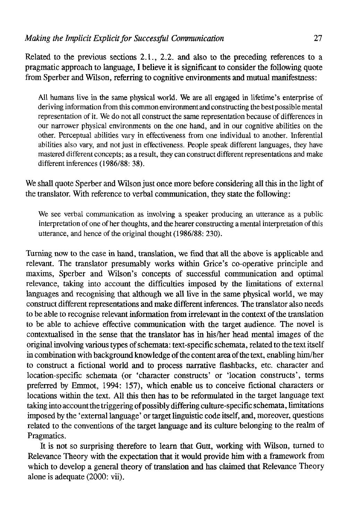Related to the previous sections 2.1., 2.2. and also to the preceding references to a pragmatic approach to language, I beüeve it is significant to consider the following quote from Sperber and Wilson, referring to cognitive environments and mutual manifestness:

AI1 humans live in the same physical world. We are all engaged in lifetime's enterprise of deriving information from this common environment and constructing the best possible mental representation of it. We do not all construct the same representation because of differences in our narrower physical environments on the one hand, and in our cognitive abilities on the other. Perceptual abilities vary in effectiveness from one individual to another. Inferential abilities also vary, and not just in effectiveness. People speak different languages, they have mastered different concepts; as a result, they can construct different representations and make different inferences (1986/88: 38).

We shall quote Sperber and Wilson just once more before considering all this in the light of the translator. With reference to verbal communication, they state the following:

We see verbal communication as involving a speaker producing an utterance as a public interpretation of one of her thoughts, and the hearer constructing a mental interpretation of this utterance, and henee of the original thought (1986/88: 230).

Turning now to the case in hand, translation, we find that all the above is applicable and relevant. The translator presumably works within Grice's co-operative principie and maxims, Sperber and Wilson's concepts of successful communication and optimal relevance, taking into account the difficulties imposed by the limitations of external languages and recognising that although we all live in the same physical world, we may construct different representations and make different inferences. The translator also needs to be able to recognise relevant information from irrelevant in the context of the translation to be able to achieve effective communication with the target audience. The novel is contextualised in the sense that the translator has in his/her head mental images of the original involving various types of schemata: text-specific schemata, related to the text itself in combination with background knowledge of the content área of the text, enabling him/her to construct a fictional world and to process narrative flashbacks, etc. character and location-specific schemata (or 'character construets' or 'location construets', terms preferred by Emmot, 1994: 157), which enable us to conceive fictional characters or locations within the text. All this then has to be reformulated in the target language text taking into account the triggering of possibly differing eulture-specifie schemata, limitations imposed by the 'external language' or target linguistic code itself, and, moreover, questions related to the conventions of the target language and its culture belonging to the realm of Pragmatics.

It is not so surprising therefore to learn that Gutt, working with Wilson, turned to Relevance Theory with the expectation that it would provide him with a framework from which to develop a general theory of translation and has claimed that Relevance Theory alone is adequate (2000: vii).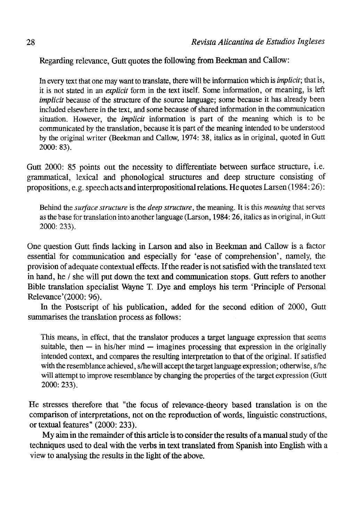Regarding relevance, Gutt quotes the following from Beekman and Callow:

In every text that one may want to transíate, there will be information which is *implicit;* that is, it is not stated in an *explicit* form in the text itself. Some information, or meaning, is left *implicit* because of the structure of the source language; some because it has already been included elsewhere in the text, and some because of shared information in the communication situation. However, the *implicit* information is part of the meaning which is to be communicated by the translation, because it is part of the meaning intended to be understood by the original writer (Beekman and Callow, 1974: 38, italics as in original, quoted in Gutt 2000: 83).

Gutt 2000: 85 points out the necessity to differentiate between surface structure, i.e. grammatical, lexical and phonological structures and deep structure consisting of propositions, e. g. speech acts and interpropositional relations. He quotes Larsen (1984:26):

Behind the *surface structure* is the *deep structure,* the meaning. It is this *meaning* that serves as the base for translation into another language (Larson, 1984:26, italics as in original, in Gutt 2000: 233).

One question Gutt finds lacking in Larson and also in Beekman and Callow is a factor essential for communication and especially for 'ease of comprehension', namely, the provisión of adequate contextual effects. If the reader is not satisfied with the translated text in hand, he / she will put down the text and communication stops. Gutt refers to another Bible translation specialist Wayne T. Dye and employs bis term 'Principie of Personal Relevance'(2000: 96).

In the Postscript of his publication, added for the second edition of 2000, Gutt summarises the translation process as follows:

This means, in effect, that the translator produces a target language expression that seems suitable, then  $-$  in his/her mind  $-$  imagines processing that expression in the originally intended context, and compares the resulting interpretation to that of the original. If satisfied with the resemblance achieved, s/he will accept the target language expression; otherwise, s/he will attempt to improve resemblance by changing the propertíes of the target expression (Gutt 2000: 233).

He stresses therefore that "the focus of relevance-theory based translation is on the comparison of interpretations, not on the reproduction of words, linguistic constructions, or textual features" (2000: 233).

My aim in the remainder of this article is to consider the results of a manual study of the techniques used to deal with the verbs in text translated from Spanish into English with a view to analysing the results in the light of the above.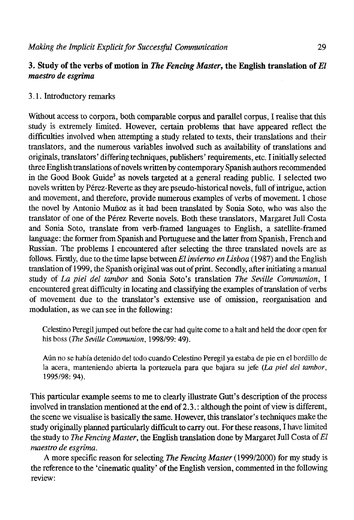## **3. Study of the verbs of motion in** *The Fencing Master,* **the English translation of** *El maestro de esgrima*

## 3.1. Introductory remarks

Without access to corpora, both comparable corpus and parallel corpus, I realise that this study is extremely limited. However, certain problems that nave appeared reflect the difficulties involved when attempting a study related to texts, their translations and their translators, and the numerous variables involved such as availability of translations and origináis, translators' differing techniques, publishers' requirements, etc. I initially selected three English translations of novéis written by contemporary Spanish authors recommended in the Good Book Guide<sup>3</sup> as novels targeted at a general reading public. I selected two novéis written by Pérez-Reverte as they are pseudo-historical novéis, full of intrigue, action and movement, and therefore, provide numerous examples of verbs of movement. I chose the novel by Antonio Muñoz as it had been translated by Sonia Soto, who was also the translator of one of the Pérez Reverte novéis. Both these translators, Margaret Jull Costa and Sonia Soto, transíate from verb-framed languages to Enghsh, a satellite-framed language: the former from Spanish and Portuguese and the latter from Spanish, French and Russian. The problems I encountered after selecting the three translated novels are as follows. Firstly, due to the time lapse between *El invierno en Lisboa* (1987) and the Enghsh translation of 1999, the Spanish original was out of print. Secondly, after initiating a manual study of *La piel del tambor* and Sonia Soto's translation *The Seville Communion,* I encountered great difficulty in locating and classifying the examples of translation of verbs of movement due to the translator's extensive use of omission, reorganisation and modulation, as we can see in the following:

Celestino Peregil jumped out before the car had quite come to a halt and held the door open for his boss *(The Seville Communion,* 1998/99: 49).

Aún no se había detenido de! todo cuando Celestino Peregil ya estaba de pie en el bordillo de la acera, manteniendo abierta la portezuela para que bajara su jefe *(La piel del tambor,*  1995/98: 94).

This particular example seems to me to clearly illustrate Gutt's description of the process involved in translation mentioned at the end of 2.3.: although the point of view is different, the scene we visualise is basically the same. However, this translator's techniques make the study originally planned particularly difficult to carry out. For these reasons, I have limited the study to *The Fencing Master,* the Enghsh translation done by Margaret Jull Costa of *El maestro de esgrima.* 

A more specific reason for selecting *The Fencing Master* (1999/2000) for my study is the reference to the 'cinematic quality' of the Enghsh versión, commented in the following review: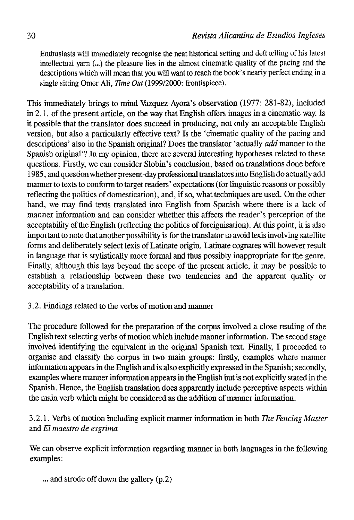Enthusiasts will immediately recognise the neat historical setting and deft telling of his latest intellectual yarn (...) the pleasure lies in the almost cinematic quality of the pacing and the descriptions which will mean that you will want to reach the book's nearly perfect ending in a single sitting Omer Ali, *Time Out* (1999/2000: frontispiece).

This immediately brings to mind Vazquez-Ayora's observation (1977: 281-82), included in 2.1. of the present article, on the way that English offers images in a cinematic way. Is it possible that the translator does succeed in producing, not only an acceptable English version, but also a particularly effective text? Is the 'cinematic quality of the pacing and descriptions' also in the Spanish original? Does the translator 'actually *add* manner to the Spanish original'? In my opinion, there are several interesting hypotheses related to these questions. Firstly, we can consider Slobin's conclusión, based on translations done before 1985, and question whether present-day professional translators into English do actually add manner to texts to conform to target readers' expectations (for linguistic reasons or possibly reflecting the politics of domestication), and, if so, what techniques are used. On the other hand, we may find texts translated into English from Spanish where there is a lack of manner information and can consider whether this affects the reader's perception of the acceptability of the English (reflecting the politics of foreignisation). At this point, it is also important to note that another possibility is for the translator to avoid texis involving satelüte forms and deliberately select lexis of Latinate origin. Latinate cognates will however result in language that is stylistically more formal and thus possibly inappropriate for the genre. Finally, although this lays beyond the scope of the present article, it may be possible to establish a relationship between these two tendencies and the apparent quality or acceptability of a translation.

# 3.2. Findings related to the verbs of motion and manner

The procedure followed for the preparation of the corpus involved a cióse reading of the English text selecting verbs of motion which include manner information. The second stage involved identifying the equivalent in the original Spanish text. Finally, I proceeded to organise and classify the corpus in two main groups: firstly, examples where manner information appears in the English and is also expliciüy expressed in the Spanish; secondly, examples where manner information appears in the English but is not expliciüy stated in the Spanish. Henee, the English translation does apparently include perceptive aspeets within the main verb which might be considered as the addition of manner information.

# 3.2.1. Verbs of motion including explicit manner information in both *The Fencing Master*  and *El maestro de esgrima*

We can observe explicit information regarding manner in both languages in the following examples:

... and strode off down the gallery (p.2)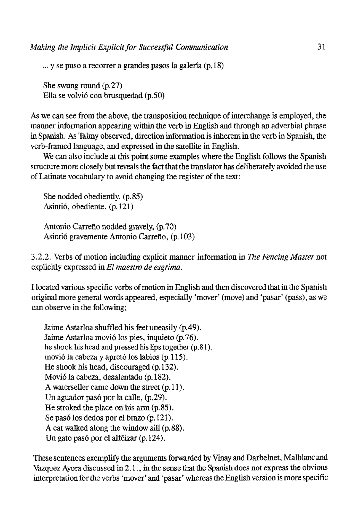... y se puso a recorrer a grandes pasos la galería (p. 18)

She swung round (p.27) Ella se volvió con brusquedad (p.50)

As we can see from the above, the transposition technique of interchange is employed, the manner information appearing within the verb in English and through an adverbial phrase in Spanish. As Talmy observed, direction information is inherent in the verb in Spanish, the verb-framed language, and expressed in the satellite in English.

We can also include at this point some examples where the English follows the Spanish structure more closely but reveáis the fact that the translator has deliberately avoided the use of Latinate vocabulary to avoid changing the register of the text:

She nodded obediently. (p.85) Asintió, obediente, (p. 121)

Antonio Carreño nodded gravely, (p.70) Asintió gravemente Antonio Carreño, (p. 103)

3.2.2. Verbs of motion including explicit manner information in *The Fencing Master* not expücitly expressed in *El maestro de esgrima.* 

I located various specific verbs of motion in English and then discovered that in the Spanish original more general words appeared, especially 'mover' (move) and 'pasar' (pass), as we can observe in the following;

Jaime Astarloa shuffled his feet uneasily (p.49). Jaime Astarloa movió los pies, inquieto (p.76). he shook his head and pressed his lips together (p.81). movió la cabeza y apretó los labios (p. 115). He shook his head, discouraged (p. 132). Movió la cabeza, desalentado (p. 182). A waterseller carne down the street (p. 11). Un aguador pasó por la calle, (p.29). He stroked the place on his arm (p.85). Se pasó los dedos por el brazo (p. 121). A cat walked along the window sill (p. 88). Un gato pasó por el alféizar (p. 124).

These sentences exemplify íhe arguments forwarded by Vinay and Darbelnet, Malblanc and Vázquez Ayora discussed in 2.1., in the sense that the Spanish does not express the obvious interpretation for the verbs 'mover' and 'pasar' whereas the English versión is more specific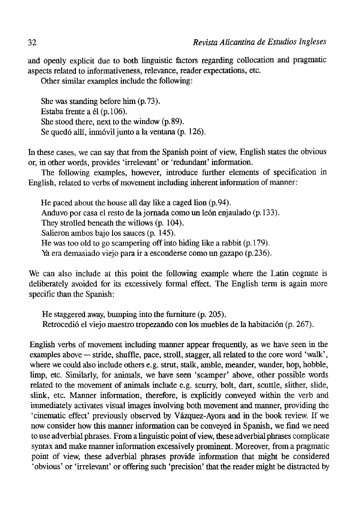and openly explicit due to both linguistic factors regarding collocation and pragmatic aspects related to informativeness, relevance, reader expectatíons, etc.

Other similar examples include the following:

She was standing before him (p.73). Estaba frente a él (p. 106). She stood there, next to the window (p.89). Se quedó allí, inmóvil junto a la ventana (p. 126).

In these cases, we can say that from the Spanish point of view, English states the obvious or, in other words, provides 'irrelevant' or 'redundant' information.

The following examples, however, introduce further elements of specification in English, related to verbs of movement including inherent information of manner:

He paced about the house all day like a caged lion (p.94). Anduvo por casa el resto de la jornada como un león enjaulado (p. 133). They strolled beneath the willows (p. 104). Salieron ambos bajo los sauces (p. 145). He was too oíd to go scampering off into hiding like a rabbit (p. 179). Ya era demasiado viejo para ir a esconderse como un gazapo (p.236).

We can also include at this point the following example where the Latin cognate is deliberately avoided for its excessively formal effect. The English term is again more specific than the Spanish:

He staggered away, bumping into the furniture (p. 205). Retrocedió el viejo maestro tropezando con los muebles de la habitación (p. 267).

English verbs of movement including manner appear frequently, as we have seen in the examples above — stride, shuffle, pace, stroll, stagger, all related to the core word 'walk', where we could also include others e.g. strut, stalk, amble, meander, wander, hop, hobble, limp, etc. Similarly, for animals, we have seen 'scamper' above, other possible words related to the movement of animáis include e.g. scurry, bolt, dart, scuttle, slither, slide, slink, etc. Manner information, therefore, is expücitly conveyed within the verb and immediately activates visual images involving both movement and manner, providing the 'cinematic effect' previously observed by Vázquez-Ayora and in the book review. If we now consider how this manner information can be conveyed in Spanish, we find we need to use adverbial phrases. From a linguistic point of view, these adverbial phrases complícate syntax and make manner information excessively prominent. Moreover, from a pragmatic point of view, these adverbial phrases provide information that might be considered 'obvious' or 'irrelevant' or offering such 'precisión' that the reader might be distracted by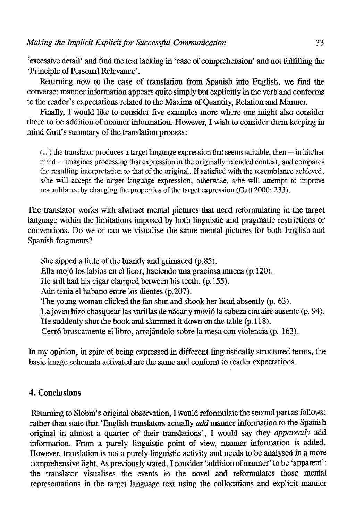'excessive detall' and fínd the text lacking in 'ease of comprehension' and not Mfilling the 'Principie of Personal Relevance'.

Retorning now to the case of translation from Spanish into English, we find the converse: manner information appears quite simply but explicitly in the verb and conforms to the reader's expectarions related to the Maxims of Quantity, Relation and Manner.

Finally, I would like to consider five examples more where one might also consider there to be addition of manner information. However, I wish to consider them keeping in mind Gutt's summary of the translation process:

(...) the translator produces a target language expression that seems suitable, then — in his/her mind — imagines processing that expression in the originally intended context, and compares the resulting interpretation to that of the original. If satisfied with the resemblance achieved, s/he will accept the target language expression; otherwise, s/he will attempt to improve resemblance by changing the properties of the target expression (Gutt 2000: 233).

The translator works with abstract mental pictures that need reformulating in the target language within the limitations imposed by both linguistic and pragmatic restrictions or conventions. Do we or can we visualise the same mental pictures for both English and Spanish fragments?

She sipped a little of the brandy and grimaced (p.85). Ella mojó los labios en el licor, haciendo una graciosa mueca (p. 120). He still had his cigar clamped between his teeth. (p. 155). Aún tenía el habano entre los dientes (p.207). The young woman clicked the fan shut and shook her head absently (p. 63). La joven hizo chasquear las varillas de nácar y movió la cabeza con aire ausente (p. 94). He suddenly shut the book and slammed it down on the table (p. 118). Cerró bruscamente el libro, arrojándolo sobre la mesa con violencia (p. 163).

In my opinión, in spite of being expressed in different linguistically structured terms, the basic image schemata activated are the same and conform to reader expectations.

## 4. Conclusions

Returning to Slobin's original observation, I would reformulate the second part as follows: rather than state that 'English translators actually *add* manner information to the Spanish original in almost a quarter of their translations', I would say they *apparently* add information. From a purely linguistic point of view, manner information is added. However, translation is not a purely linguistic activity and needs to be analysed in a more comprehensive light. As previously stated, I consider 'addition of manner' to be 'apparent': the translator visualises the events in the novel and reformulates íhose mental representations in the target language text using the collocations and explicit manner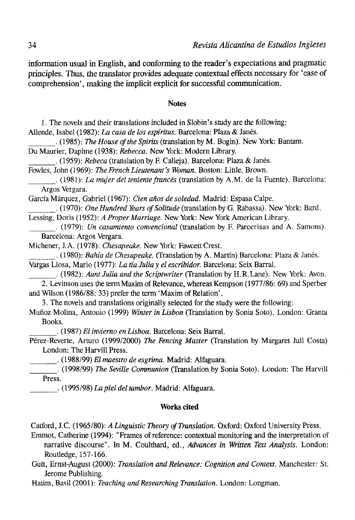information usual in English, and conforming to the reader's expectations and pragmatic principies. Thus. the translator provides adequate contextual effects necessary for 'ease of comprehension', making the implicit explicit for successful communication.

#### Notes

1. The novéis and their translations included in Slobin's study are the following:

Allende, Isabel (1982): *La casa de los espíritus*. Barcelona: Plaza & Janés.

. (1985): *The House of the Spirits (trmslaúonby* M. Bogin). New York: Bantam. Du Maurier, Daphne (1938): *Rebecca.* New York: Modern Library.

. (1959): *Rebeca* (translation by F. Calleja). Barcelona: Plaza & Janes.

Fowíes, John (1969): *The FrenchLieutenant's Woman.* Boston: Little, Brown.

. (1981): *La mujer del teniente francés* (translation by A.M. de la Fuente). Barcelona: Argos Vergara.

García Márquez, Gabriel (1967): *Cien años de soledad.* Madrid: Espasa Calpe.

. (1970): *One Hundred Years ofSolitude* (translation by G. Rabassa). New York: Bard. Lessing, Doris (1952): *A Proper Marriage.* New York: New York American Library.

. (1979): *Un casamiento convencional* (translation by F. Parcerisas and A. Samons). Barcelona: Argos Vergara.

Michener, J.A. (1978): *Chesapeake.* New York: Fawcett Crest.

. (1980): *Bahía de Chesapeake.* (Translation by A. Martín) Barcelona: Plaza & Janes. Vargas Llosa, Mario (1977): *La tía Julia y el escribidor.* Barcelona: Seix Barral.

. (1982): *Aunt Julia and the Scriptwriter* (Translation by H.R.Lane). New York: Avon. 2. Levinson uses the term Maxim of Relevance, whereas Kempson (1977/86: 69) and Sperber and Wilson (1986/88: 33) prefer the term 'Maxim of Relation'.

3. The novels and translations originally selected for the study were the following:

Muñoz Molina, Antonio (1999) *Winter in Lisbon* (Translation by Sonia Soto). London: Granta Books.

. (1987) *El invierno en Lisboa.* Barcelona: Seix Barral.

Pérez-Reverte, Arturo (1999/2000) *The Fencing Master* (Translation by Margaret Jull Costa) London: The Harvill Press.

\_. (1988/99) *El maestro de esgrima.* Madrid: Alfaguara.

. (1998/99) *The Seville Communion* (Translation by Sonia Soto). London: The Harvill Press.

. (1995/98) *La piel del tambor.* Madrid: Alfaguara.

### **Works cited**

Catford, J.C. (1965/80): *A Linguistic Theory of Translation.* Oxford: Oxford University Press.

Emmot, Catherine (1994): "Frames of reference: contextual monitoring and the interpretation of narrative discourse". In M. Coulthard, ed., *Advances in Written Text Analysis.* London: Routledge, 157-166.

Gutt, Ernst-August (2000): *Translation and Relevance: Cognition and Context.* Manchester: St. Jerome Publishing.

Hatim, Basil (2001): *Teaching and Researching Translation*. London: Longman.